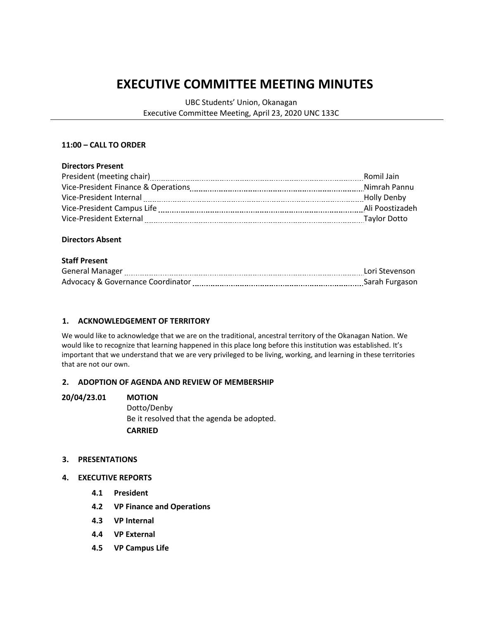# **EXECUTIVE COMMITTEE MEETING MINUTES**

UBC Students' Union, Okanagan Executive Committee Meeting, April 23, 2020 UNC 133C

### **11:00 – CALL TO ORDER**

#### **Directors Present**

|                                     | Romil Jain      |
|-------------------------------------|-----------------|
| Vice-President Finance & Operations | Nimrah Pannu    |
| Vice-President Internal             | Holly Denby     |
| Vice-President Campus Life          | Ali Poostizadeh |
| Vice-President External             | Taylor Dotto    |
|                                     |                 |

#### **Directors Absent**

#### **Staff Present**

| <b>General Manager</b>                       | Lori Stevenson |
|----------------------------------------------|----------------|
| <b>Advocacy &amp; Governance Coordinator</b> | Sarah Furgason |

## **1. ACKNOWLEDGEMENT OF TERRITORY**

We would like to acknowledge that we are on the traditional, ancestral territory of the Okanagan Nation. We would like to recognize that learning happened in this place long before this institution was established. It's important that we understand that we are very privileged to be living, working, and learning in these territories that are not our own.

#### **2. ADOPTION OF AGENDA AND REVIEW OF MEMBERSHIP**

#### **20/04/23.01 MOTION**

Dotto/Denby Be it resolved that the agenda be adopted. **CARRIED**

#### **3. PRESENTATIONS**

- **4. EXECUTIVE REPORTS**
	- **4.1 President**
	- **4.2 VP Finance and Operations**
	- **4.3 VP Internal**
	- **4.4 VP External**
	- **4.5 VP Campus Life**